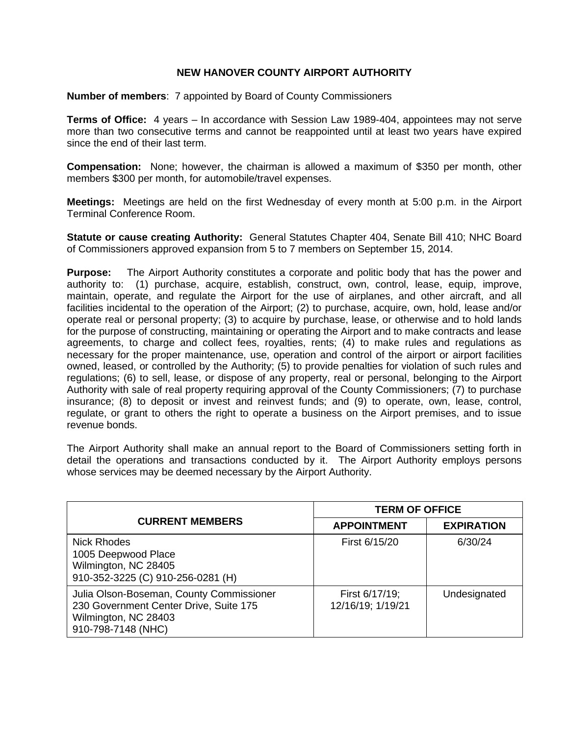## **NEW HANOVER COUNTY AIRPORT AUTHORITY**

**Number of members**: 7 appointed by Board of County Commissioners

**Terms of Office:** 4 years – In accordance with Session Law 1989-404, appointees may not serve more than two consecutive terms and cannot be reappointed until at least two years have expired since the end of their last term.

**Compensation:** None; however, the chairman is allowed a maximum of \$350 per month, other members \$300 per month, for automobile/travel expenses.

**Meetings:** Meetings are held on the first Wednesday of every month at 5:00 p.m. in the Airport Terminal Conference Room.

**Statute or cause creating Authority:** General Statutes Chapter 404, Senate Bill 410; NHC Board of Commissioners approved expansion from 5 to 7 members on September 15, 2014.

**Purpose:** The Airport Authority constitutes a corporate and politic body that has the power and authority to: (1) purchase, acquire, establish, construct, own, control, lease, equip, improve, maintain, operate, and regulate the Airport for the use of airplanes, and other aircraft, and all facilities incidental to the operation of the Airport; (2) to purchase, acquire, own, hold, lease and/or operate real or personal property; (3) to acquire by purchase, lease, or otherwise and to hold lands for the purpose of constructing, maintaining or operating the Airport and to make contracts and lease agreements, to charge and collect fees, royalties, rents; (4) to make rules and regulations as necessary for the proper maintenance, use, operation and control of the airport or airport facilities owned, leased, or controlled by the Authority; (5) to provide penalties for violation of such rules and regulations; (6) to sell, lease, or dispose of any property, real or personal, belonging to the Airport Authority with sale of real property requiring approval of the County Commissioners; (7) to purchase insurance; (8) to deposit or invest and reinvest funds; and (9) to operate, own, lease, control, regulate, or grant to others the right to operate a business on the Airport premises, and to issue revenue bonds.

The Airport Authority shall make an annual report to the Board of Commissioners setting forth in detail the operations and transactions conducted by it. The Airport Authority employs persons whose services may be deemed necessary by the Airport Authority.

|                                                                                                                                  | <b>TERM OF OFFICE</b>               |                   |
|----------------------------------------------------------------------------------------------------------------------------------|-------------------------------------|-------------------|
| <b>CURRENT MEMBERS</b>                                                                                                           | <b>APPOINTMENT</b>                  | <b>EXPIRATION</b> |
| Nick Rhodes<br>1005 Deepwood Place<br>Wilmington, NC 28405<br>910-352-3225 (C) 910-256-0281 (H)                                  | First 6/15/20                       | 6/30/24           |
| Julia Olson-Boseman, County Commissioner<br>230 Government Center Drive, Suite 175<br>Wilmington, NC 28403<br>910-798-7148 (NHC) | First 6/17/19;<br>12/16/19; 1/19/21 | Undesignated      |